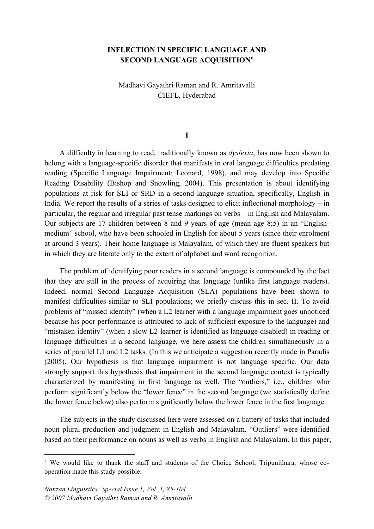## **INFLECTION IN SPECIFIC LANGUAGE AND SECOND LANGUAGE ACQUISITION**<sup>∗</sup>

Madhavi Gayathri Raman and R. Amritavalli CIEFL, Hyderabad

#### **I**

A difficulty in learning to read, traditionally known as *dyslexia*, has now been shown to belong with a language-specific disorder that manifests in oral language difficulties predating reading (Specific Language Impairment: Leonard, 1998), and may develop into Specific Reading Disability (Bishop and Snowling, 2004). This presentation is about identifying populations at risk for SLI or SRD in a second language situation, specifically, English in India. We report the results of a series of tasks designed to elicit inflectional morphology – in particular, the regular and irregular past tense markings on verbs – in English and Malayalam. Our subjects are 17 children between 8 and 9 years of age (mean age 8;5) in an "Englishmedium" school, who have been schooled in English for about 5 years (since their enrolment at around 3 years). Their home language is Malayalam, of which they are fluent speakers but in which they are literate only to the extent of alphabet and word recognition.

The problem of identifying poor readers in a second language is compounded by the fact that they are still in the process of acquiring that language (unlike first language readers). Indeed, normal Second Language Acquisition (SLA) populations have been shown to manifest difficulties similar to SLI populations; we briefly discuss this in sec. II. To avoid problems of "missed identity" (when a L2 learner with a language impairment goes unnoticed because his poor performance is attributed to lack of sufficient exposure to the language) and "mistaken identity" (when a slow L2 learner is identified as language disabled) in reading or language difficulties in a second language, we here assess the children simultaneously in a series of parallel L1 and L2 tasks. (In this we anticipate a suggestion recently made in Paradis (2005). Our hypothesis is that language impairment is not language specific. Our data strongly support this hypothesis that impairment in the second language context is typically characterized by manifesting in first language as well. The "outliers," i.e., children who perform significantly below the "lower fence" in the second language (we statistically define the lower fence below) also perform significantly below the lower fence in the first language.

The subjects in the study discussed here were assessed on a battery of tasks that included noun plural production and judgment in English and Malayalam. "Outliers" were identified based on their performance on nouns as well as verbs in English and Malayalam. In this paper,

 $\overline{a}$ 

<sup>∗</sup> We would like to thank the staff and students of the Choice School, Tripunithura, whose cooperation made this study possible.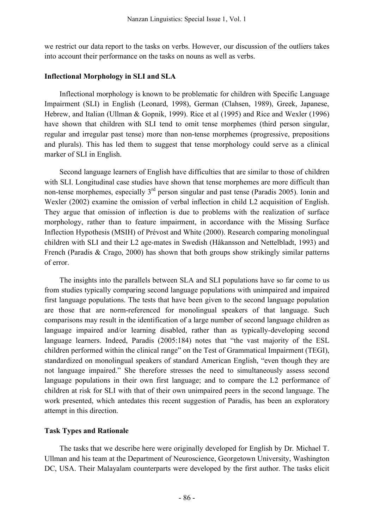we restrict our data report to the tasks on verbs. However, our discussion of the outliers takes into account their performance on the tasks on nouns as well as verbs.

#### **Inflectional Morphology in SLI and SLA**

Inflectional morphology is known to be problematic for children with Specific Language Impairment (SLI) in English (Leonard, 1998), German (Clahsen, 1989), Greek, Japanese, Hebrew, and Italian (Ullman & Gopnik, 1999). Rice et al (1995) and Rice and Wexler (1996) have shown that children with SLI tend to omit tense morphemes (third person singular, regular and irregular past tense) more than non-tense morphemes (progressive, prepositions and plurals). This has led them to suggest that tense morphology could serve as a clinical marker of SLI in English.

Second language learners of English have difficulties that are similar to those of children with SLI. Longitudinal case studies have shown that tense morphemes are more difficult than non-tense morphemes, especially  $3<sup>rd</sup>$  person singular and past tense (Paradis 2005). Ionin and Wexler (2002) examine the omission of verbal inflection in child L2 acquisition of English. They argue that omission of inflection is due to problems with the realization of surface morphology, rather than to feature impairment, in accordance with the Missing Surface Inflection Hypothesis (MSIH) of Prévost and White (2000). Research comparing monolingual children with SLI and their L2 age-mates in Swedish (Håkansson and Nettelbladt, 1993) and French (Paradis & Crago, 2000) has shown that both groups show strikingly similar patterns of error.

The insights into the parallels between SLA and SLI populations have so far come to us from studies typically comparing second language populations with unimpaired and impaired first language populations. The tests that have been given to the second language population are those that are norm-referenced for monolingual speakers of that language. Such comparisons may result in the identification of a large number of second language children as language impaired and/or learning disabled, rather than as typically-developing second language learners. Indeed, Paradis (2005:184) notes that "the vast majority of the ESL children performed within the clinical range" on the Test of Grammatical Impairment (TEGI), standardized on monolingual speakers of standard American English, "even though they are not language impaired." She therefore stresses the need to simultaneously assess second language populations in their own first language; and to compare the L2 performance of children at risk for SLI with that of their own unimpaired peers in the second language. The work presented, which antedates this recent suggestion of Paradis, has been an exploratory attempt in this direction.

### **Task Types and Rationale**

The tasks that we describe here were originally developed for English by Dr. Michael T. Ullman and his team at the Department of Neuroscience, Georgetown University, Washington DC, USA. Their Malayalam counterparts were developed by the first author. The tasks elicit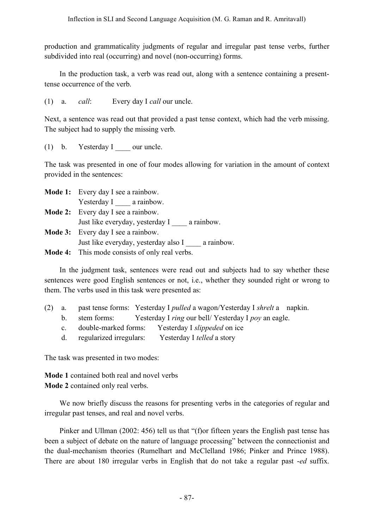production and grammaticality judgments of regular and irregular past tense verbs, further subdivided into real (occurring) and novel (non-occurring) forms.

In the production task, a verb was read out, along with a sentence containing a presenttense occurrence of the verb.

(1) a. *call*: Every day I *call* our uncle.

Next, a sentence was read out that provided a past tense context, which had the verb missing. The subject had to supply the missing verb.

(1) b. Yesterday I our uncle.

The task was presented in one of four modes allowing for variation in the amount of context provided in the sentences:

| <b>Mode 1:</b> Every day I see a rainbow.             |
|-------------------------------------------------------|
| Yesterday I a rainbow.                                |
| <b>Mode 2:</b> Every day I see a rainbow.             |
| Just like everyday, yesterday I a rainbow.            |
| <b>Mode 3:</b> Every day I see a rainbow.             |
| Just like everyday, yesterday also I a rainbow.       |
| <b>Mode 4:</b> This mode consists of only real verbs. |

In the judgment task, sentences were read out and subjects had to say whether these sentences were good English sentences or not, i.e., whether they sounded right or wrong to them. The verbs used in this task were presented as:

- (2) a. past tense forms: Yesterday I *pulled* a wagon/Yesterday I *shrelt* a napkin.
	- b. stem forms: Yesterday I *ring* our bell/ Yesterday I *poy* an eagle.
	- c. double-marked forms: Yesterday I *slippeded* on ice
	- d. regularized irregulars: Yesterday I *telled* a story

The task was presented in two modes:

**Mode 1** contained both real and novel verbs **Mode 2** contained only real verbs.

We now briefly discuss the reasons for presenting verbs in the categories of regular and irregular past tenses, and real and novel verbs.

Pinker and Ullman (2002: 456) tell us that "(f)or fifteen years the English past tense has been a subject of debate on the nature of language processing" between the connectionist and the dual-mechanism theories (Rumelhart and McClelland 1986; Pinker and Prince 1988). There are about 180 irregular verbs in English that do not take a regular past -*ed* suffix.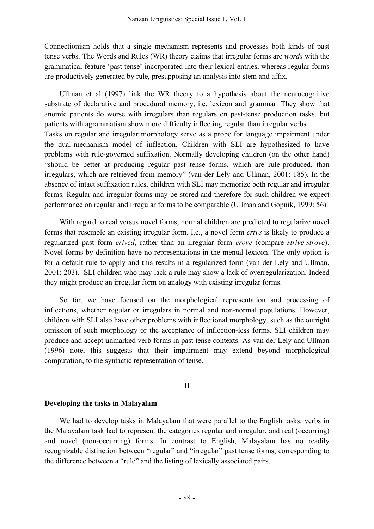Connectionism holds that a single mechanism represents and processes both kinds of past tense verbs. The Words and Rules (WR) theory claims that irregular forms are *words* with the grammatical feature 'past tense' incorporated into their lexical entries, whereas regular forms are productively generated by rule, presupposing an analysis into stem and affix.

Ullman et al (1997) link the WR theory to a hypothesis about the neurocognitive substrate of declarative and procedural memory, i.e. lexicon and grammar. They show that anomic patients do worse with irregulars than regulars on past-tense production tasks, but patients with agrammatism show more difficulty inflecting regular than irregular verbs. Tasks on regular and irregular morphology serve as a probe for language impairment under the dual-mechanism model of inflection. Children with SLI are hypothesized to have problems with rule-governed suffixation. Normally developing children (on the other hand) "should be better at producing regular past tense forms, which are rule-produced, than irregulars, which are retrieved from memory" (van der Lely and Ullman, 2001: 185). In the absence of intact suffixation rules, children with SLI may memorize both regular and irregular forms. Regular and irregular forms may be stored and therefore for such children we expect performance on regular and irregular forms to be comparable (Ullman and Gopnik, 1999: 56).

With regard to real versus novel forms, normal children are predicted to regularize novel forms that resemble an existing irregular form. I.e., a novel form *crive* is likely to produce a regularized past form *crived*, rather than an irregular form *crove* (compare *strive*-*strove*). Novel forms by definition have no representations in the mental lexicon. The only option is for a default rule to apply and this results in a regularized form (van der Lely and Ullman, 2001: 203). SLI children who may lack a rule may show a lack of overregularization. Indeed they might produce an irregular form on analogy with existing irregular forms.

So far, we have focused on the morphological representation and processing of inflections, whether regular or irregulars in normal and non-normal populations. However, children with SLI also have other problems with inflectional morphology, such as the outright omission of such morphology or the acceptance of inflection-less forms. SLI children may produce and accept unmarked verb forms in past tense contexts. As van der Lely and Ullman (1996) note, this suggests that their impairment may extend beyond morphological computation, to the syntactic representation of tense.

### **II**

### **Developing the tasks in Malayalam**

We had to develop tasks in Malayalam that were parallel to the English tasks: verbs in the Malayalam task had to represent the categories regular and irregular, and real (occurring) and novel (non-occurring) forms. In contrast to English, Malayalam has no readily recognizable distinction between "regular" and "irregular" past tense forms, corresponding to the difference between a "rule" and the listing of lexically associated pairs.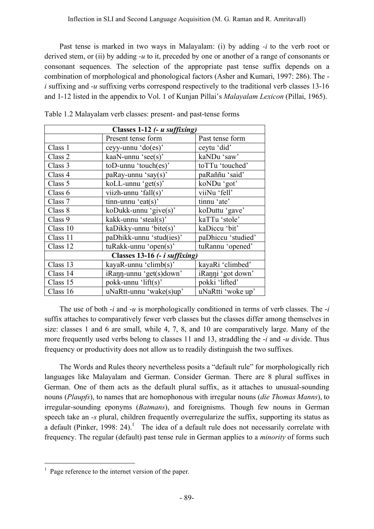Past tense is marked in two ways in Malayalam: (i) by adding *-i* to the verb root or derived stem, or (ii) by adding *-u* to it, preceded by one or another of a range of consonants or consonant sequences. The selection of the appropriate past tense suffix depends on a combination of morphological and phonological factors (Asher and Kumari, 1997: 286). The *i* suffixing and -*u* suffixing verbs correspond respectively to the traditional verb classes 13-16 and 1-12 listed in the appendix to Vol. 1 of Kunjan Pillai's *Malayalam Lexicon* (Pillai, 1965).

| Classes 1-12 (- <i>u</i> suffixing) |                                       |                    |  |  |
|-------------------------------------|---------------------------------------|--------------------|--|--|
|                                     | Present tense form                    | Past tense form    |  |  |
| Class 1                             | ceyy-unnu 'do(es)'                    | ceytu 'did'        |  |  |
| Class <sub>2</sub>                  | kaaN-unnu 'see(s)'                    | kaNDu 'saw'        |  |  |
| Class 3                             | toD-unnu 'touch(es)'                  | toTTu 'touched'    |  |  |
| Class 4                             | paRay-unnu 'say(s)'                   | paRaññu 'said'     |  |  |
| Class 5                             | $kolL$ -unnu 'get $(s)$ '             | koNDu 'got'        |  |  |
| Class 6                             | viizh-unnu 'fall(s)'                  | viiNu 'fell'       |  |  |
| Class 7                             | $tinn-unnu$ 'eat(s)'                  | tinnu 'ate'        |  |  |
| Class 8                             | koDukk-unnu 'give $(s)$ '             | koDuttu 'gave'     |  |  |
| Class 9                             | kakk-unnu 'steal(s)'                  | kaTTu 'stole'      |  |  |
| Class 10                            | kaDikky-unnu 'bite(s)'                | kaDiccu 'bit'      |  |  |
| Class 11                            | paDhikk-unnu 'stud(ies)'              | paDhiccu 'studied' |  |  |
| Class 12                            | $tukak$ -unnu 'open(s)'               | tuRannu 'opened'   |  |  |
|                                     | Classes 13-16 (- <i>i suffixing</i> ) |                    |  |  |
| Class 13                            | kayaR-unnu 'climb $(s)$ '             | kayaRi 'climbed'   |  |  |
| Class 14                            | iRann-unnu 'get(s)down'               | iRanni 'got down'  |  |  |
| Class 15                            | pokk-unnu 'lift(s)'                   | pokki 'lifted'     |  |  |
| Class 16                            | uNaRtt-unnu 'wake(s)up'               | uNaRtti 'woke up'  |  |  |

Table 1.2 Malayalam verb classes: present- and past-tense forms

The use of both -*i* and -*u* is morphologically conditioned in terms of verb classes. The -*i* suffix attaches to comparatively fewer verb classes but the classes differ among themselves in size: classes 1 and 6 are small, while 4, 7, 8, and 10 are comparatively large. Many of the more frequently used verbs belong to classes 11 and 13, straddling the -*i* and -*u* divide. Thus frequency or productivity does not allow us to readily distinguish the two suffixes.

The Words and Rules theory nevertheless posits a "default rule" for morphologically rich languages like Malayalam and German. Consider German. There are 8 plural suffixes in German. One of them acts as the default plural suffix, as it attaches to unusual-sounding nouns (*Plaupfs*), to names that are homophonous with irregular nouns (*die Thomas Manns*), to irregular-sounding eponyms (*Batmans*), and foreignisms. Though few nouns in German speech take an *-s* plural, children frequently overregularize the suffix, supporting its status as a default (Pinker, 1998: 24).<sup>1</sup> The idea of a default rule does not necessarily correlate with frequency. The regular (default) past tense rule in German applies to a *minority* of forms such

 $<sup>1</sup>$  Page reference to the internet version of the paper.</sup>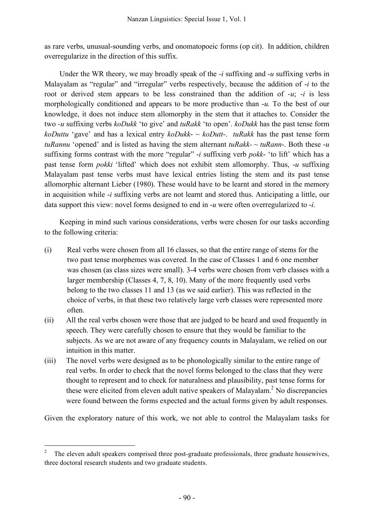as rare verbs, unusual-sounding verbs, and onomatopoeic forms (op cit). In addition, children overregularize in the direction of this suffix.

Under the WR theory, we may broadly speak of the *-i* suffixing and -*u* suffixing verbs in Malayalam as "regular" and "irregular" verbs respectively, because the addition of -*i* to the root or derived stem appears to be less constrained than the addition of *-u*; -*i* is less morphologically conditioned and appears to be more productive than -*u.* To the best of our knowledge, it does not induce stem allomorphy in the stem that it attaches to. Consider the two *-u* suffixing verbs *koDukk* 'to give' and *tuRakk* 'to open'. *koDukk* has the past tense form *koDuttu* 'gave' and has a lexical entry *koDukk*- ~ *koDutt*-. *tuRakk* has the past tense form *tuRannu* 'opened' and is listed as having the stem alternant *tuRakk-*  $\sim$  *tuRann*-. Both these -*u* suffixing forms contrast with the more "regular" -*i* suffixing verb *pokk*- 'to lift' which has a past tense form *pokki* 'lifted' which does not exhibit stem allomorphy. Thus, -*u* suffixing Malayalam past tense verbs must have lexical entries listing the stem and its past tense allomorphic alternant Lieber (1980). These would have to be learnt and stored in the memory in acquisition while -*i* suffixing verbs are not learnt and stored thus. Anticipating a little, our data support this view: novel forms designed to end in -*u* were often overregularized to -*i*.

Keeping in mind such various considerations, verbs were chosen for our tasks according to the following criteria:

- (i) Real verbs were chosen from all 16 classes, so that the entire range of stems for the two past tense morphemes was covered. In the case of Classes 1 and 6 one member was chosen (as class sizes were small). 3-4 verbs were chosen from verb classes with a larger membership (Classes 4, 7, 8, 10). Many of the more frequently used verbs belong to the two classes 11 and 13 (as we said earlier). This was reflected in the choice of verbs, in that these two relatively large verb classes were represented more often.
- (ii) All the real verbs chosen were those that are judged to be heard and used frequently in speech. They were carefully chosen to ensure that they would be familiar to the subjects. As we are not aware of any frequency counts in Malayalam, we relied on our intuition in this matter.
- (iii) The novel verbs were designed as to be phonologically similar to the entire range of real verbs. In order to check that the novel forms belonged to the class that they were thought to represent and to check for naturalness and plausibility, past tense forms for these were elicited from eleven adult native speakers of Malayalam. <sup>2</sup> No discrepancies were found between the forms expected and the actual forms given by adult responses.

Given the exploratory nature of this work, we not able to control the Malayalam tasks for

 <sup>2</sup> The eleven adult speakers comprised three post-graduate professionals, three graduate housewives, three doctoral research students and two graduate students.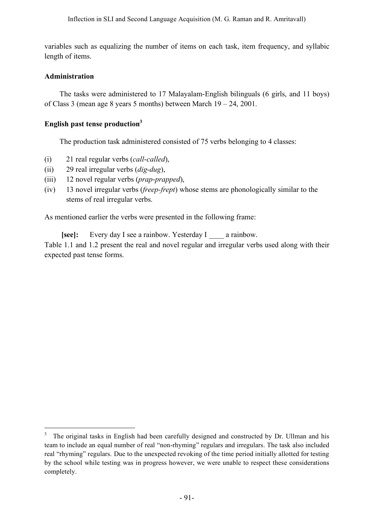variables such as equalizing the number of items on each task, item frequency, and syllabic length of items.

### **Administration**

The tasks were administered to 17 Malayalam-English bilinguals (6 girls, and 11 boys) of Class 3 (mean age 8 years 5 months) between March 19 – 24, 2001.

# **English past tense production3**

The production task administered consisted of 75 verbs belonging to 4 classes:

- (i) 21 real regular verbs (*call*-*called*),
- (ii) 29 real irregular verbs (*dig*-*dug*),
- (iii) 12 novel regular verbs (*prap*-*prapped*),
- (iv) 13 novel irregular verbs (*freep-frept*) whose stems are phonologically similar to the stems of real irregular verbs.

As mentioned earlier the verbs were presented in the following frame:

**[see]:** Every day I see a rainbow. Yesterday I a rainbow. Table 1.1 and 1.2 present the real and novel regular and irregular verbs used along with their expected past tense forms.

 <sup>3</sup> The original tasks in English had been carefully designed and constructed by Dr. Ullman and his team to include an equal number of real "non-rhyming" regulars and irregulars. The task also included real "rhyming" regulars. Due to the unexpected revoking of the time period initially allotted for testing by the school while testing was in progress however, we were unable to respect these considerations completely.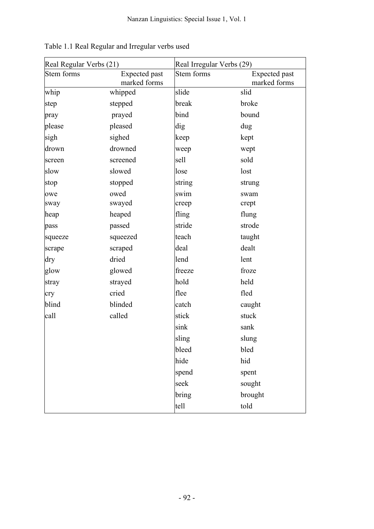| Real Regular Verbs (21) |                               | Real Irregular Verbs (29) |                               |  |
|-------------------------|-------------------------------|---------------------------|-------------------------------|--|
| Stem forms              | Expected past<br>marked forms | Stem forms                | Expected past<br>marked forms |  |
| whip                    | whipped                       | slide                     | slid                          |  |
| step                    | stepped                       | break                     | broke                         |  |
| pray                    | prayed                        | bind                      | bound                         |  |
| please                  | pleased                       | dig                       | dug                           |  |
| sigh                    | sighed                        | keep                      | kept                          |  |
| drown                   | drowned                       | weep                      | wept                          |  |
| screen                  | screened                      | sell                      | sold                          |  |
| slow                    | slowed                        | lose                      | lost                          |  |
| stop                    | stopped                       | string                    | strung                        |  |
| owe                     | owed                          | swim                      | swam                          |  |
| sway                    | swayed                        | creep                     | crept                         |  |
| heap                    | heaped                        | fling                     | flung                         |  |
| pass                    | passed                        | stride                    | strode                        |  |
| squeeze                 | squeezed                      | teach                     | taught                        |  |
| scrape                  | scraped                       | deal                      | dealt                         |  |
| dry                     | dried                         | lend                      | lent                          |  |
| glow                    | glowed                        | freeze                    | froze                         |  |
| stray                   | strayed                       | hold                      | held                          |  |
| cry                     | cried                         | flee                      | fled                          |  |
| blind                   | blinded                       | catch                     | caught                        |  |
| call                    | called                        | stick                     | stuck                         |  |
|                         |                               | sink                      | sank                          |  |
|                         |                               | sling                     | slung                         |  |
|                         |                               | bleed                     | bled                          |  |
|                         |                               | hide                      | hid                           |  |
|                         |                               | spend                     | spent                         |  |
|                         |                               | seek                      | sought                        |  |
|                         |                               | bring                     | brought                       |  |
|                         |                               | tell                      | told                          |  |

| Table 1.1 Real Regular and Irregular verbs used |  |  |  |
|-------------------------------------------------|--|--|--|
|                                                 |  |  |  |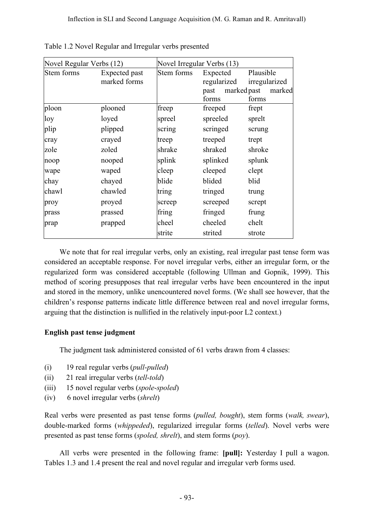| Novel Regular Verbs (12) |                               |            | Novel Irregular Verbs (13)               |                                                              |  |
|--------------------------|-------------------------------|------------|------------------------------------------|--------------------------------------------------------------|--|
| Stem forms               | Expected past<br>marked forms | Stem forms | Expected<br>regularized<br>past<br>forms | Plausible<br>irregularized<br>marked past<br>marked<br>forms |  |
| ploon                    | plooned                       | freep      | freeped                                  | frept                                                        |  |
| loy                      | loyed                         | spreel     | spreeled                                 | sprelt                                                       |  |
| plip                     | plipped                       | scring     | scringed                                 | scrung                                                       |  |
| cray                     | crayed                        | treep      | treeped                                  | trept                                                        |  |
| zole                     | zoled                         | shrake     | shraked                                  | shroke                                                       |  |
| noop                     | nooped                        | splink     | splinked                                 | splunk                                                       |  |
| wape                     | waped                         | cleep      | cleeped                                  | clept                                                        |  |
| chay                     | chayed                        | blide      | blided                                   | blid                                                         |  |
| chawl                    | chawled                       | tring      | tringed                                  | trung                                                        |  |
| proy                     | proyed                        | screep     | screeped                                 | scrept                                                       |  |
| prass                    | prassed                       | fring      | fringed                                  | frung                                                        |  |
| prap                     | prapped                       | cheel      | cheeled                                  | chelt                                                        |  |
|                          |                               | strite     | strited                                  | strote                                                       |  |

|  | Table 1.2 Novel Regular and Irregular verbs presented |
|--|-------------------------------------------------------|
|  |                                                       |

We note that for real irregular verbs, only an existing, real irregular past tense form was considered an acceptable response. For novel irregular verbs, either an irregular form, or the regularized form was considered acceptable (following Ullman and Gopnik, 1999). This method of scoring presupposes that real irregular verbs have been encountered in the input and stored in the memory, unlike unencountered novel forms. (We shall see however, that the children's response patterns indicate little difference between real and novel irregular forms, arguing that the distinction is nullified in the relatively input-poor L2 context.)

## **English past tense judgment**

The judgment task administered consisted of 61 verbs drawn from 4 classes:

- (i) 19 real regular verbs (*pull*-*pulled*)
- (ii) 21 real irregular verbs (*tell*-*told*)
- (iii) 15 novel regular verbs (*spole*-*spoled*)
- (iv) 6 novel irregular verbs (*shrelt*)

Real verbs were presented as past tense forms (*pulled, bought*), stem forms (*walk, swear*), double-marked forms (*whippeded*), regularized irregular forms (*telled*). Novel verbs were presented as past tense forms (*spoled, shrelt*), and stem forms (*poy*).

All verbs were presented in the following frame: **[pull]:** Yesterday I pull a wagon. Tables 1.3 and 1.4 present the real and novel regular and irregular verb forms used.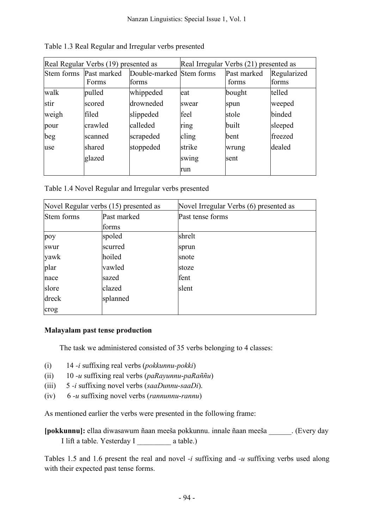| Real Regular Verbs (19) presented as |                      | Real Irregular Verbs (21) presented as |        |                      |                      |
|--------------------------------------|----------------------|----------------------------------------|--------|----------------------|----------------------|
| Stem forms                           | Past marked<br>Forms | Double-marked Stem forms<br>forms      |        | Past marked<br>forms | Regularized<br>forms |
| walk                                 | pulled               | whippeded                              | eat    | bought               | telled               |
| stir                                 | scored               | drowneded                              | swear  | spun                 | weeped               |
| weigh                                | filed                | slippeded                              | feel   | stole                | binded               |
| pour                                 | crawled              | calleded                               | ring   | built                | sleeped              |
| beg                                  | scanned              | scrapeded                              | cling  | <b>b</b> ent         | freezed              |
| use                                  | shared               | stoppeded                              | strike | wrung                | dealed               |
|                                      | glazed               |                                        | swing  | sent                 |                      |
|                                      |                      |                                        | run    |                      |                      |

Table 1.3 Real Regular and Irregular verbs presented

Table 1.4 Novel Regular and Irregular verbs presented

| Novel Regular verbs (15) presented as |             | Novel Irregular Verbs (6) presented as |
|---------------------------------------|-------------|----------------------------------------|
| Stem forms                            | Past marked | Past tense forms                       |
|                                       | forms       |                                        |
| poy                                   | spoled      | shrelt                                 |
| swur                                  | scurred     | sprun                                  |
| yawk                                  | hoiled      | snote                                  |
| plar                                  | vawled      | stoze                                  |
| nace                                  | sazed       | fent                                   |
| slore                                 | clazed      | slent                                  |
| dreck                                 | splanned    |                                        |
| crog                                  |             |                                        |

## **Malayalam past tense production**

The task we administered consisted of 35 verbs belonging to 4 classes:

- (i) 14 *-i* suffixing real verbs (*pokkunnu-pokki*)
- (ii) 10 *-u* suffixing real verbs (*paRayunnu*-*paRaññu*)
- (iii) 5 *-i* suffixing novel verbs (*saaDunnu*-*saaDi*).
- (iv) 6 *-u* suffixing novel verbs (*rannunnu*-*rannu*)

As mentioned earlier the verbs were presented in the following frame:

**[pokkunnu]:** ellaa diwasawum ñaan meeša pokkunnu. innale ñaan meeša \_\_\_\_\_\_. (Every day I lift a table. Yesterday I a table.)

Tables 1.5 and 1.6 present the real and novel *-i* suffixing and *-u* suffixing verbs used along with their expected past tense forms.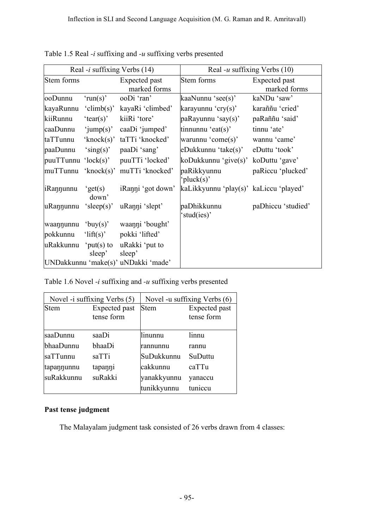| Real -i suffixing Verbs (14) |                           | Real -u suffixing Verbs $(10)$      |                                        |                               |
|------------------------------|---------------------------|-------------------------------------|----------------------------------------|-------------------------------|
| Stem forms                   |                           | Expected past<br>marked forms       | Stem forms                             | Expected past<br>marked forms |
| ooDunnu                      | 'run(s)'                  | ooDi 'ran'                          | kaaNunnu 'see(s)'                      | kaNDu 'saw'                   |
| kayaRunnu                    | 'climb(s)'                | kayaRi 'climbed'                    | karayunnu 'cry(s)'                     | karaññu 'cried'               |
| kiiRunnu                     | 'tear(s)'                 | kiiRi 'tore'                        | paRayunnu 'say(s)'                     | paRaññu 'said'                |
| caaDunnu                     | 'jump(s)'                 | caaDi 'jumped'                      | tinnunnu 'eat $(s)$ '                  | tinnu 'ate'                   |
| taTTunnu                     | 'knock $(s)$ '            | taTTi 'knocked'                     | warunnu 'come(s)'                      | wannu 'came'                  |
| paaDunnu                     | 'sing(s)'                 | paaDi 'sang'                        | eDukkunnu 'take(s)'                    | eDuttu 'took'                 |
| $p$ uuTTunnu ' $lock(s)$ '   |                           | puuTTi 'locked'                     | koDukkunnu 'give(s)'                   | koDuttu 'gave'                |
| muTTunnu                     | 'knock $(s)$ '            | muTTi 'knocked'                     | paRikkyunnu<br>'pluck(s)'              | paRiccu 'plucked'             |
| iRannunnu                    | $\text{`get}(s)$<br>down' | iRanni 'got down'                   | kaLikkyunnu 'play(s)' kaLiccu 'played' |                               |
| $\mu$ Rannunnu 'sleep(s)'    |                           | uRanni 'slept'                      | paDhikkunnu<br>stud(ies)'              | paDhiccu 'studied'            |
| waannunnu 'buy(s)'           |                           | waanni 'bought'                     |                                        |                               |
| pokkunnu                     | ' $lift(s)$ '             | pokki 'lifted'                      |                                        |                               |
| uRakkunnu                    | $'put(s)$ to<br>sleep'    | uRakki 'put to<br>sleep'            |                                        |                               |
|                              |                           | UNDakkunnu 'make(s)' uNDakki 'made' |                                        |                               |

Table 1.5 Real *-i* suffixing and *-u* suffixing verbs presented

Table 1.6 Novel *-i* suffixing and *-u* suffixing verbs presented

| Novel -i suffixing Verbs (5) |                             | Novel -u suffixing Verbs (6) |                             |  |
|------------------------------|-----------------------------|------------------------------|-----------------------------|--|
| <b>Stem</b>                  | Expected past<br>tense form | <b>Stem</b>                  | Expected past<br>tense form |  |
| saaDunnu                     | saaDi                       | linunnu                      | linnu                       |  |
| bhaaDunnu                    | bhaaDi                      | Irannunnu                    | rannu                       |  |
| saTTunnu                     | saTTi                       | SuDukkunnu                   | SuDuttu                     |  |
| tapannunnu                   | tapanni                     | cakkunnu                     | caTTu                       |  |
| suRakkunnu                   | suRakki                     | yanakkyunnu                  | yanaccu                     |  |
|                              |                             | tunikkyunnu                  | tuniccu                     |  |

## **Past tense judgment**

The Malayalam judgment task consisted of 26 verbs drawn from 4 classes: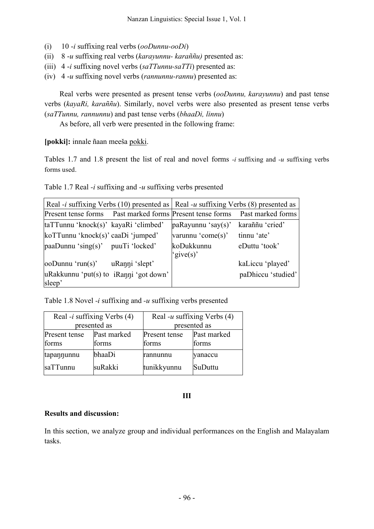- (i) 10 -*i* suffixing real verbs (*ooDunnu-ooDi*)
- (ii) 8 -*u* suffixing real verbs (*karayunnu- karaññu)* presented as:
- (iii) 4 -*i* suffixing novel verbs (*saTTunnu-saTTi*) presented as:
- (iv) 4 -*u* suffixing novel verbs (*rannunnu-rannu*) presented as:

Real verbs were presented as present tense verbs (*ooDunnu, karayunnu*) and past tense verbs (*kayaRi, karaññu*). Similarly, novel verbs were also presented as present tense verbs (*saTTunnu, rannunnu*) and past tense verbs (*bhaaDi, linnu*)

As before, all verb were presented in the following frame:

**[pokki]:** innale ñaan meeša pokki.

Tables 1.7 and 1.8 present the list of real and novel forms *-i* suffixing and *-u* suffixing verbs forms used.

Table 1.7 Real *-i* suffixing and *-u* suffixing verbs presented

| Real -i suffixing Verbs (10) presented as $\vert$ Real -u suffixing Verbs (8) presented as |                |                               |                    |
|--------------------------------------------------------------------------------------------|----------------|-------------------------------|--------------------|
| Present tense forms Past marked forms Present tense forms Past marked forms                |                |                               |                    |
| taTTunnu 'knock(s)' kayaRi 'climbed'                                                       |                | $\mathsf{paRayunnu}$ 'say(s)' | karaññu 'cried'    |
| koTTunnu 'knock(s)' caaDi 'jumped'                                                         |                | varunnu 'come(s)'             | tinnu 'ate'        |
| $paaDunnu 'sing(s)'$ puuTi 'locked'                                                        |                | koDukkunnu                    | eDuttu 'took'      |
|                                                                                            |                | 'give(s)'                     |                    |
| ooDunnu 'run(s)'                                                                           | uRanni 'slept' |                               | kaLiccu 'played'   |
| uRakkunnu 'put(s) to iRanni 'got down'                                                     |                |                               | paDhiccu 'studied' |
| sleep'                                                                                     |                |                               |                    |

Table 1.8 Novel *-i* suffixing and *-u* suffixing verbs presented

| Real - <i>i</i> suffixing Verbs $(4)$ |                      | Real -u suffixing Verbs $(4)$                  |         |  |
|---------------------------------------|----------------------|------------------------------------------------|---------|--|
| presented as                          |                      | presented as                                   |         |  |
| Present tense<br>forms                | Past marked<br>forms | Past marked<br>Present tense<br>forms<br>forms |         |  |
| tapannunnu                            | bhaaDi               | rannunnu                                       | yanaccu |  |
| saTTunnu                              | suRakki              | tunikkyunnu                                    | SuDuttu |  |

### **III**

### **Results and discussion:**

In this section, we analyze group and individual performances on the English and Malayalam tasks.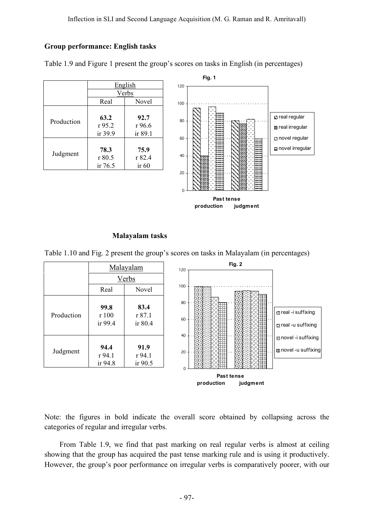### **Group performance: English tasks**

|            | English<br>Verbs            |                           |
|------------|-----------------------------|---------------------------|
|            |                             |                           |
|            | Real                        | Novel                     |
| Production | 63.2<br>r 95.2<br>ir $39.9$ | 92.7<br>r 96.6<br>ir 89.1 |
| Judgment   | 78.3<br>r80.5<br>ir $76.5$  | 75.9<br>r 82.4<br>ir 60   |



Table 1.9 and Figure 1 present the group's scores on tasks in English (in percentages)

## **Malayalam tasks**

Table 1.10 and Fig. 2 present the group's scores on tasks in Malayalam (in percentages)



Note: the figures in bold indicate the overall score obtained by collapsing across the categories of regular and irregular verbs.

From Table 1.9, we find that past marking on real regular verbs is almost at ceiling showing that the group has acquired the past tense marking rule and is using it productively. However, the group's poor performance on irregular verbs is comparatively poorer, with our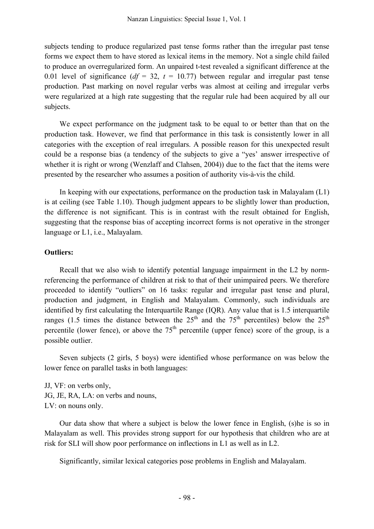subjects tending to produce regularized past tense forms rather than the irregular past tense forms we expect them to have stored as lexical items in the memory. Not a single child failed to produce an overregularized form. An unpaired t-test revealed a significant difference at the 0.01 level of significance  $(df = 32, t = 10.77)$  between regular and irregular past tense production. Past marking on novel regular verbs was almost at ceiling and irregular verbs were regularized at a high rate suggesting that the regular rule had been acquired by all our subjects.

We expect performance on the judgment task to be equal to or better than that on the production task. However, we find that performance in this task is consistently lower in all categories with the exception of real irregulars. A possible reason for this unexpected result could be a response bias (a tendency of the subjects to give a "yes' answer irrespective of whether it is right or wrong (Wenzlaff and Clahsen, 2004)) due to the fact that the items were presented by the researcher who assumes a position of authority vis-à-vis the child.

In keeping with our expectations, performance on the production task in Malayalam (L1) is at ceiling (see Table 1.10). Though judgment appears to be slightly lower than production, the difference is not significant. This is in contrast with the result obtained for English, suggesting that the response bias of accepting incorrect forms is not operative in the stronger language or L1, i.e., Malayalam.

## **Outliers:**

Recall that we also wish to identify potential language impairment in the L2 by normreferencing the performance of children at risk to that of their unimpaired peers. We therefore proceeded to identify "outliers" on 16 tasks: regular and irregular past tense and plural, production and judgment, in English and Malayalam. Commonly, such individuals are identified by first calculating the Interquartile Range (IQR). Any value that is 1.5 interquartile ranges (1.5 times the distance between the  $25<sup>th</sup>$  and the  $75<sup>th</sup>$  percentiles) below the  $25<sup>th</sup>$ percentile (lower fence), or above the  $75<sup>th</sup>$  percentile (upper fence) score of the group, is a possible outlier.

Seven subjects (2 girls, 5 boys) were identified whose performance on was below the lower fence on parallel tasks in both languages:

JJ, VF: on verbs only, JG, JE, RA, LA: on verbs and nouns, LV: on nouns only.

Our data show that where a subject is below the lower fence in English, (s)he is so in Malayalam as well. This provides strong support for our hypothesis that children who are at risk for SLI will show poor performance on inflections in L1 as well as in L2.

Significantly, similar lexical categories pose problems in English and Malayalam.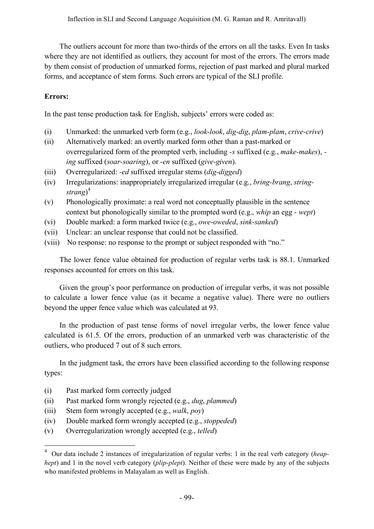The outliers account for more than two-thirds of the errors on all the tasks. Even In tasks where they are not identified as outliers, they account for most of the errors. The errors made by them consist of production of unmarked forms, rejection of past marked and plural marked forms, and acceptance of stem forms. Such errors are typical of the SLI profile.

## **Errors:**

In the past tense production task for English, subjects' errors were coded as:

- (i) Unmarked: the unmarked verb form (e.g., *look-look*, *dig-dig*, *plam-plam*, *crive-crive*)
- (ii) Alternatively marked: an overtly marked form other than a past-marked or overregularized form of the prompted verb, including *-s* suffixed (e.g., *make-makes*),  *ing* suffixed (*soar-soaring*), or -*en* suffixed (*give-given*).
- (iii) Overregularized: *-ed* suffixed irregular stems (*dig-digged*)
- (iv) Irregularizations: inappropriately irregularized irregular (e.g., *bring-brang*, *stringstrang*) 4
- (v) Phonologically proximate: a real word not conceptually plausible in the sentence context but phonologically similar to the prompted word (e.g., *whip* an egg *- wept*)
- (vi) Double marked: a form marked twice (e.g., *owe-oweded*, *sink-sanked*)
- (vii) Unclear: an unclear response that could not be classified.
- (viii) No response: no response to the prompt or subject responded with "no."

The lower fence value obtained for production of regular verbs task is 88.1. Unmarked responses accounted for errors on this task.

Given the group's poor performance on production of irregular verbs, it was not possible to calculate a lower fence value (as it became a negative value). There were no outliers beyond the upper fence value which was calculated at 93.

In the production of past tense forms of novel irregular verbs, the lower fence value calculated is 61.5. Of the errors, production of an unmarked verb was characteristic of the outliers, who produced 7 out of 8 such errors.

In the judgment task, the errors have been classified according to the following response types:

- (i) Past marked form correctly judged
- (ii) Past marked form wrongly rejected (e.g., *dug*, *plammed*)
- (iii) Stem form wrongly accepted (e.g., *walk*, *poy*)
- (iv) Double marked form wrongly accepted (e.g., *stoppeded*)
- (v) Overregularization wrongly accepted (e.g., *telled*)

 <sup>4</sup> Our data include 2 instances of irregularization of regular verbs: <sup>1</sup> in the real verb category (*heaphept*) and 1 in the novel verb category (*plip-plept*). Neither of these were made by any of the subjects who manifested problems in Malayalam as well as English.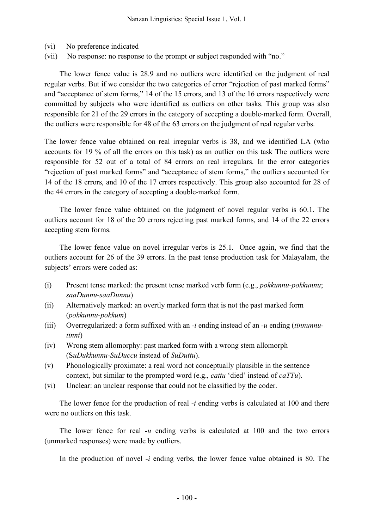- (vi) No preference indicated
- (vii) No response: no response to the prompt or subject responded with "no."

The lower fence value is 28.9 and no outliers were identified on the judgment of real regular verbs. But if we consider the two categories of error "rejection of past marked forms" and "acceptance of stem forms," 14 of the 15 errors, and 13 of the 16 errors respectively were committed by subjects who were identified as outliers on other tasks. This group was also responsible for 21 of the 29 errors in the category of accepting a double-marked form. Overall, the outliers were responsible for 48 of the 63 errors on the judgment of real regular verbs.

The lower fence value obtained on real irregular verbs is 38, and we identified LA (who accounts for 19 % of all the errors on this task) as an outlier on this task The outliers were responsible for 52 out of a total of 84 errors on real irregulars. In the error categories "rejection of past marked forms" and "acceptance of stem forms," the outliers accounted for 14 of the 18 errors, and 10 of the 17 errors respectively. This group also accounted for 28 of the 44 errors in the category of accepting a double-marked form.

The lower fence value obtained on the judgment of novel regular verbs is 60.1. The outliers account for 18 of the 20 errors rejecting past marked forms, and 14 of the 22 errors accepting stem forms.

The lower fence value on novel irregular verbs is 25.1. Once again, we find that the outliers account for 26 of the 39 errors. In the past tense production task for Malayalam, the subjects' errors were coded as:

- (i) Present tense marked: the present tense marked verb form (e.g., *pokkunnu-pokkunnu*; *saaDunnu-saaDunnu*)
- (ii) Alternatively marked: an overtly marked form that is not the past marked form (*pokkunnu-pokkum*)
- (iii) Overregularized: a form suffixed with an *-i* ending instead of an *-u* ending (*tinnunnutinni*)
- (iv) Wrong stem allomorphy: past marked form with a wrong stem allomorph (S*uDukkunnu-SuDuccu* instead of *SuDuttu*).
- (v) Phonologically proximate: a real word not conceptually plausible in the sentence context, but similar to the prompted word (e.g., *cattu* 'died' instead of *caTTu*).
- (vi) Unclear: an unclear response that could not be classified by the coder.

The lower fence for the production of real -*i* ending verbs is calculated at 100 and there were no outliers on this task.

The lower fence for real *-u* ending verbs is calculated at 100 and the two errors (unmarked responses) were made by outliers.

In the production of novel -*i* ending verbs, the lower fence value obtained is 80. The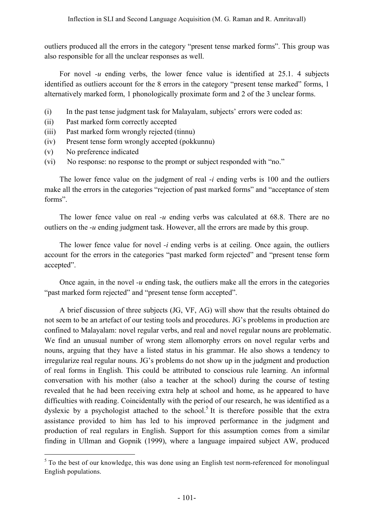outliers produced all the errors in the category "present tense marked forms". This group was also responsible for all the unclear responses as well.

For novel *-u* ending verbs, the lower fence value is identified at 25.1. 4 subjects identified as outliers account for the 8 errors in the category "present tense marked" forms, 1 alternatively marked form, 1 phonologically proximate form and 2 of the 3 unclear forms.

- (i) In the past tense judgment task for Malayalam, subjects' errors were coded as:
- (ii) Past marked form correctly accepted
- (iii) Past marked form wrongly rejected (tinnu)
- (iv) Present tense form wrongly accepted (pokkunnu)
- (v) No preference indicated
- (vi) No response: no response to the prompt or subject responded with "no."

The lower fence value on the judgment of real -*i* ending verbs is 100 and the outliers make all the errors in the categories "rejection of past marked forms" and "acceptance of stem forms".

The lower fence value on real *-u* ending verbs was calculated at 68.8. There are no outliers on the -*u* ending judgment task. However, all the errors are made by this group.

The lower fence value for novel *-i* ending verbs is at ceiling. Once again, the outliers account for the errors in the categories "past marked form rejected" and "present tense form accepted".

Once again, in the novel  $-u$  ending task, the outliers make all the errors in the categories "past marked form rejected" and "present tense form accepted".

A brief discussion of three subjects (JG, VF, AG) will show that the results obtained do not seem to be an artefact of our testing tools and procedures. JG's problems in production are confined to Malayalam: novel regular verbs, and real and novel regular nouns are problematic. We find an unusual number of wrong stem allomorphy errors on novel regular verbs and nouns, arguing that they have a listed status in his grammar. He also shows a tendency to irregularize real regular nouns. JG's problems do not show up in the judgment and production of real forms in English. This could be attributed to conscious rule learning. An informal conversation with his mother (also a teacher at the school) during the course of testing revealed that he had been receiving extra help at school and home, as he appeared to have difficulties with reading. Coincidentally with the period of our research, he was identified as a dyslexic by a psychologist attached to the school.<sup>5</sup> It is therefore possible that the extra assistance provided to him has led to his improved performance in the judgment and production of real regulars in English. Support for this assumption comes from a similar finding in Ullman and Gopnik (1999), where a language impaired subject AW, produced

 $5$  To the best of our knowledge, this was done using an English test norm-referenced for monolingual English populations.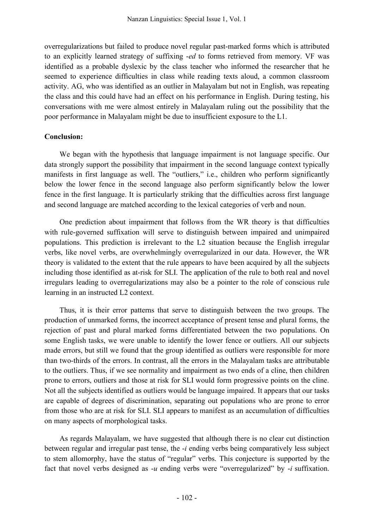overregularizations but failed to produce novel regular past-marked forms which is attributed to an explicitly learned strategy of suffixing -*ed* to forms retrieved from memory. VF was identified as a probable dyslexic by the class teacher who informed the researcher that he seemed to experience difficulties in class while reading texts aloud, a common classroom activity. AG, who was identified as an outlier in Malayalam but not in English, was repeating the class and this could have had an effect on his performance in English. During testing, his conversations with me were almost entirely in Malayalam ruling out the possibility that the poor performance in Malayalam might be due to insufficient exposure to the L1.

## **Conclusion:**

We began with the hypothesis that language impairment is not language specific. Our data strongly support the possibility that impairment in the second language context typically manifests in first language as well. The "outliers," i.e., children who perform significantly below the lower fence in the second language also perform significantly below the lower fence in the first language. It is particularly striking that the difficulties across first language and second language are matched according to the lexical categories of verb and noun.

One prediction about impairment that follows from the WR theory is that difficulties with rule-governed suffixation will serve to distinguish between impaired and unimpaired populations. This prediction is irrelevant to the L2 situation because the English irregular verbs, like novel verbs, are overwhelmingly overregularized in our data. However, the WR theory is validated to the extent that the rule appears to have been acquired by all the subjects including those identified as at-risk for SLI. The application of the rule to both real and novel irregulars leading to overregularizations may also be a pointer to the role of conscious rule learning in an instructed L2 context.

Thus, it is their error patterns that serve to distinguish between the two groups. The production of unmarked forms, the incorrect acceptance of present tense and plural forms, the rejection of past and plural marked forms differentiated between the two populations. On some English tasks, we were unable to identify the lower fence or outliers. All our subjects made errors, but still we found that the group identified as outliers were responsible for more than two-thirds of the errors. In contrast, all the errors in the Malayalam tasks are attributable to the outliers. Thus, if we see normality and impairment as two ends of a cline, then children prone to errors, outliers and those at risk for SLI would form progressive points on the cline. Not all the subjects identified as outliers would be language impaired. It appears that our tasks are capable of degrees of discrimination, separating out populations who are prone to error from those who are at risk for SLI. SLI appears to manifest as an accumulation of difficulties on many aspects of morphological tasks.

As regards Malayalam, we have suggested that although there is no clear cut distinction between regular and irregular past tense, the -*i* ending verbs being comparatively less subject to stem allomorphy, have the status of "regular" verbs. This conjecture is supported by the fact that novel verbs designed as -*u* ending verbs were "overregularized" by -*i* suffixation.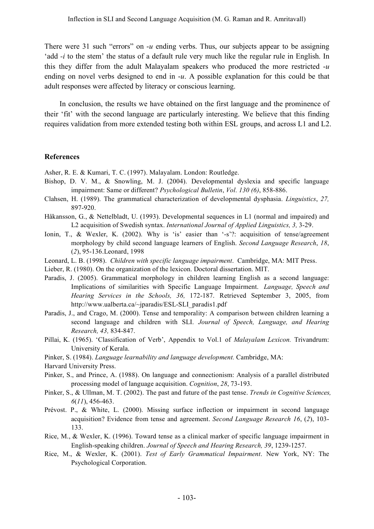There were 31 such "errors" on  $-u$  ending verbs. Thus, our subjects appear to be assigning 'add *-i* to the stem' the status of a default rule very much like the regular rule in English. In this they differ from the adult Malayalam speakers who produced the more restricted -*u* ending on novel verbs designed to end in -*u*. A possible explanation for this could be that adult responses were affected by literacy or conscious learning.

In conclusion, the results we have obtained on the first language and the prominence of their 'fit' with the second language are particularly interesting. We believe that this finding requires validation from more extended testing both within ESL groups, and across L1 and L2.

### **References**

Asher, R. E. & Kumari, T. C. (1997). Malayalam. London: Routledge.

- Bishop, D. V. M., & Snowling, M. J. (2004). Developmental dyslexia and specific language impairment: Same or different? *Psychological Bulletin*, *Vol. 130 (6)*, 858-886.
- Clahsen, H. (1989). The grammatical characterization of developmental dysphasia. *Linguistics*, *27,* 897-920.
- Håkansson, G., & Nettelbladt, U. (1993). Developmental sequences in L1 (normal and impaired) and L2 acquisition of Swedish syntax. *International Journal of Applied Linguistics, 3,* 3-29.
- Ionin, T., & Wexler, K. (2002). Why is 'is' easier than '-s'?: acquisition of tense/agreement morphology by child second language learners of English. *Second Language Research*, *18*, (*2*), 95-136.Leonard, 1998
- Leonard, L. B. (1998). *Children with specific language impairment*. Cambridge, MA: MIT Press.
- Lieber, R. (1980). On the organization of the lexicon. Doctoral dissertation. MIT.
- Paradis, J. (2005). Grammatical morphology in children learning English as a second language: Implications of similarities with Specific Language Impairment. *Language, Speech and Hearing Services in the Schools, 36,* 172-187. Retrieved September 3, 2005, from http://www.ualberta.ca/~jparadis/ESL-SLI\_paradis1.pdf
- Paradis, J., and Crago, M. (2000). Tense and temporality: A comparison between children learning a second language and children with SLI. *Journal of Speech, Language, and Hearing Research, 43,* 834-847.
- Pillai, K. (1965). 'Classification of Verb', Appendix to Vol.1 of *Malayalam Lexicon.* Trivandrum: University of Kerala.
- Pinker, S. (1984). *Language learnability and language development.* Cambridge, MA:

Harvard University Press.

- Pinker, S., and Prince, A. (1988). On language and connectionism: Analysis of a parallel distributed processing model of language acquisition. *Cognition*, *28*, 73-193.
- Pinker, S., & Ullman, M. T. (2002). The past and future of the past tense. *Trends in Cognitive Sciences, 6*(*11*), 456-463.
- Prévost. P., & White, L. (2000). Missing surface inflection or impairment in second language acquisition? Evidence from tense and agreement. *Second Language Research 16*, (*2*), 103- 133.
- Rice, M., & Wexler, K. (1996). Toward tense as a clinical marker of specific language impairment in English-speaking children. *Journal of Speech and Hearing Research, 39*, 1239-1257.
- Rice, M., & Wexler, K. (2001). *Test of Early Grammatical Impairment*. New York, NY: The Psychological Corporation.